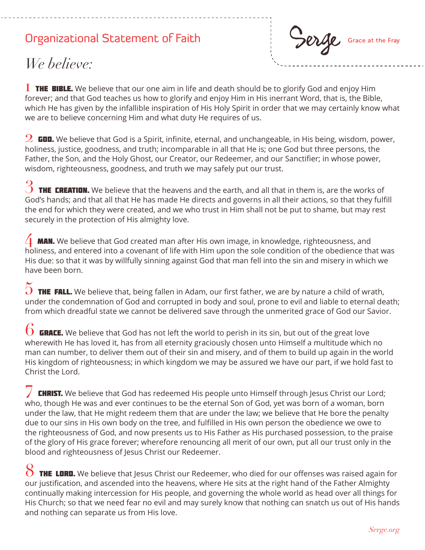## Organizational Statement of Faith



## *We believe:*

**I THE BIBLE.** We believe that our one aim in life and death should be to glorify God and enjoy Him forever; and that God teaches us how to glorify and enjoy Him in His inerrant Word, that is, the Bible, which He has given by the infallible inspiration of His Holy Spirit in order that we may certainly know what we are to believe concerning Him and what duty He requires of us.

 $2\,$  GOD. We believe that God is a Spirit, infinite, eternal, and unchangeable, in His being, wisdom, power, holiness, justice, goodness, and truth; incomparable in all that He is; one God but three persons, the Father, the Son, and the Holy Ghost, our Creator, our Redeemer, and our Sanctifier; in whose power, wisdom, righteousness, goodness, and truth we may safely put our trust.

 $3$  THE CREATION. We believe that the heavens and the earth, and all that in them is, are the works of God's hands; and that all that He has made He directs and governs in all their actions, so that they fulfill the end for which they were created, and we who trust in Him shall not be put to shame, but may rest securely in the protection of His almighty love.

**MAN.** We believe that God created man after His own image, in knowledge, righteousness, and holiness, and entered into a covenant of life with Him upon the sole condition of the obedience that was His due: so that it was by willfully sinning against God that man fell into the sin and misery in which we have been born.

 $5$  THE FALL. We believe that, being fallen in Adam, our first father, we are by nature a child of wrath, under the condemnation of God and corrupted in body and soul, prone to evil and liable to eternal death; from which dreadful state we cannot be delivered save through the unmerited grace of God our Savior.

 $6$  GRACE. We believe that God has not left the world to perish in its sin, but out of the great love wherewith He has loved it, has from all eternity graciously chosen unto Himself a multitude which no man can number, to deliver them out of their sin and misery, and of them to build up again in the world His kingdom of righteousness; in which kingdom we may be assured we have our part, if we hold fast to Christ the Lord.

**CHRIST.** We believe that God has redeemed His people unto Himself through Jesus Christ our Lord; who, though He was and ever continues to be the eternal Son of God, yet was born of a woman, born under the law, that He might redeem them that are under the law; we believe that He bore the penalty due to our sins in His own body on the tree, and fulfilled in His own person the obedience we owe to the righteousness of God, and now presents us to His Father as His purchased possession, to the praise of the glory of His grace forever; wherefore renouncing all merit of our own, put all our trust only in the blood and righteousness of Jesus Christ our Redeemer.

8 THE LORD. We believe that Jesus Christ our Redeemer, who died for our offenses was raised again for our justification, and ascended into the heavens, where He sits at the right hand of the Father Almighty continually making intercession for His people, and governing the whole world as head over all things for His Church; so that we need fear no evil and may surely know that nothing can snatch us out of His hands and nothing can separate us from His love.